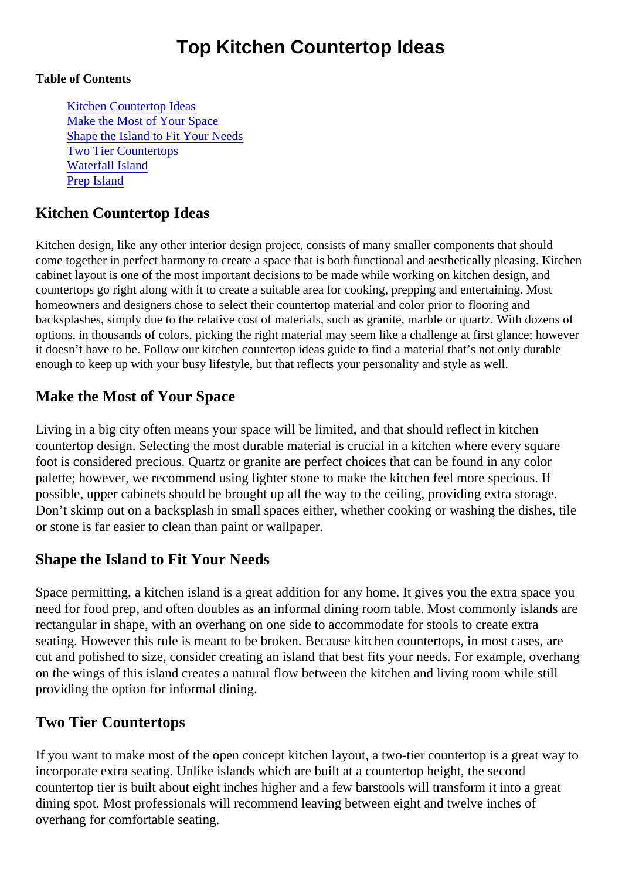# Top Kitchen Countertop Ideas

#### Table of Contents

Kitchen Countertop Ideas Make the Most of Your Space Shape the Island to Fit Your Needs Two Tier Countertops [Waterfall Island](#page-1-0) [Prep Islan](#page-1-0)d

### Kitchen Countertop Ideas

Kitchen design, like any other interior design project, consists of many smaller components that should come together in perfect harmony to create a space that is both functional and aesthetically pleasing. Kitcle cabinet layout is one of the most important decisions to be made while working on kitchen design, and countertops go right along with it to create a suitable area for cooking, prepping and entertaining. Most homeowners and designers chose to select their countertop material and color prior to flooring and backsplashes, simply due to the relative cost of materials, such as granite, marble or quartz. With dozens options, in thousands of colors, picking the right material may seem like a challenge at first glance; however it doesn't have to be. Follow our kitchen countertop ideas guide to find a material that's not only durable enough to keep up with your busy lifestyle, but that reflects your personality and style as well.

## Make the Most of Your Space

Living in a big city often means your space will be limited, and that should reflect in kitchen countertop design. Selecting the most durable material is crucial in a kitchen where every square foot is considered precious. Quartz or granite are perfect choices that can be found in any color palette; however, we recommend using lighter stone to make the kitchen feel more specious. If possible, upper cabinets should be brought up all the way to the ceiling, providing extra storage. Don't skimp out on a backsplash in small spaces either, whether cooking or washing the dishes, til or stone is far easier to clean than paint or wallpaper.

### Shape the Island to Fit Your Needs

Space permitting, a kitchen island is a great addition for any home. It gives you the extra space you need for food prep, and often doubles as an informal dining room table. Most commonly islands are rectangular in shape, with an overhang on one side to accommodate for stools to create extra seating. However this rule is meant to be broken. Because kitchen countertops, in most cases, are cut and polished to size, consider creating an island that best fits your needs. For example, overhangle on the wings of this island creates a natural flow between the kitchen and living room while still providing the option for informal dining.

### Two Tier Countertops

If you want to make most of the open concept kitchen layout, a two-tier countertop is a great way to incorporate extra seating. Unlike islands which are built at a countertop height, the second countertop tier is built about eight inches higher and a few barstools will transform it into a great dining spot. Most professionals will recommend leaving between eight and twelve inches of overhang for comfortable seating.